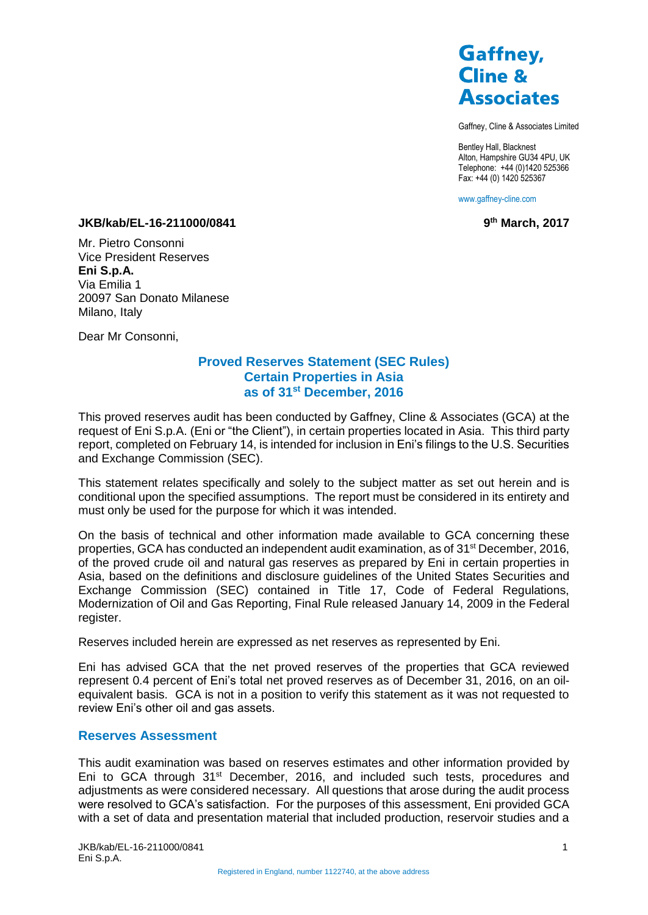# **Gaffney**, **Cline & Associates**

Gaffney, Cline & Associates Limited

Bentley Hall, Blacknest Alton, Hampshire GU34 4PU, UK Telephone: +44 (0)1420 525366 Fax: +44 (0) 1420 525367

[www.gaffney-cline.com](http://www.gaffney-cline.com/)

**th March, 2017**

#### **JKB/kab/EL-16-211000/0841 9**

Mr. Pietro Consonni Vice President Reserves **Eni S.p.A.** Via Emilia 1 20097 San Donato Milanese Milano, Italy

Dear Mr Consonni,

# **Proved Reserves Statement (SEC Rules) Certain Properties in Asia as of 31st December, 2016**

This proved reserves audit has been conducted by Gaffney, Cline & Associates (GCA) at the request of Eni S.p.A. (Eni or "the Client"), in certain properties located in Asia. This third party report, completed on February 14, is intended for inclusion in Eni's filings to the U.S. Securities and Exchange Commission (SEC).

This statement relates specifically and solely to the subject matter as set out herein and is conditional upon the specified assumptions. The report must be considered in its entirety and must only be used for the purpose for which it was intended.

On the basis of technical and other information made available to GCA concerning these properties, GCA has conducted an independent audit examination, as of 31st December, 2016, of the proved crude oil and natural gas reserves as prepared by Eni in certain properties in Asia, based on the definitions and disclosure guidelines of the United States Securities and Exchange Commission (SEC) contained in Title 17, Code of Federal Regulations, Modernization of Oil and Gas Reporting, Final Rule released January 14, 2009 in the Federal register.

Reserves included herein are expressed as net reserves as represented by Eni.

Eni has advised GCA that the net proved reserves of the properties that GCA reviewed represent 0.4 percent of Eni's total net proved reserves as of December 31, 2016, on an oilequivalent basis. GCA is not in a position to verify this statement as it was not requested to review Eni's other oil and gas assets.

#### **Reserves Assessment**

This audit examination was based on reserves estimates and other information provided by Eni to GCA through  $31<sup>st</sup>$  December, 2016, and included such tests, procedures and adjustments as were considered necessary. All questions that arose during the audit process were resolved to GCA's satisfaction. For the purposes of this assessment, Eni provided GCA with a set of data and presentation material that included production, reservoir studies and a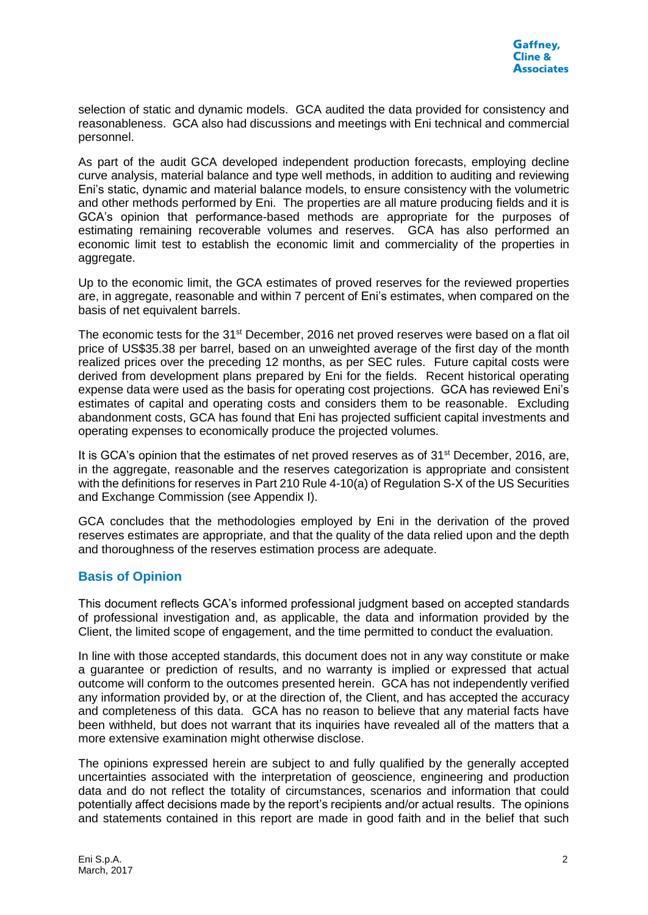selection of static and dynamic models. GCA audited the data provided for consistency and reasonableness. GCA also had discussions and meetings with Eni technical and commercial personnel.

As part of the audit GCA developed independent production forecasts, employing decline curve analysis, material balance and type well methods, in addition to auditing and reviewing Eni's static, dynamic and material balance models, to ensure consistency with the volumetric and other methods performed by Eni. The properties are all mature producing fields and it is GCA's opinion that performance-based methods are appropriate for the purposes of estimating remaining recoverable volumes and reserves. GCA has also performed an economic limit test to establish the economic limit and commerciality of the properties in aggregate.

Up to the economic limit, the GCA estimates of proved reserves for the reviewed properties are, in aggregate, reasonable and within 7 percent of Eni's estimates, when compared on the basis of net equivalent barrels.

The economic tests for the 31<sup>st</sup> December, 2016 net proved reserves were based on a flat oil price of US\$35.38 per barrel, based on an unweighted average of the first day of the month realized prices over the preceding 12 months, as per SEC rules. Future capital costs were derived from development plans prepared by Eni for the fields. Recent historical operating expense data were used as the basis for operating cost projections. GCA has reviewed Eni's estimates of capital and operating costs and considers them to be reasonable. Excluding abandonment costs, GCA has found that Eni has projected sufficient capital investments and operating expenses to economically produce the projected volumes.

It is GCA's opinion that the estimates of net proved reserves as of 31<sup>st</sup> December, 2016, are, in the aggregate, reasonable and the reserves categorization is appropriate and consistent with the definitions for reserves in Part 210 Rule 4-10(a) of Regulation S-X of the US Securities and Exchange Commission (see Appendix I).

GCA concludes that the methodologies employed by Eni in the derivation of the proved reserves estimates are appropriate, and that the quality of the data relied upon and the depth and thoroughness of the reserves estimation process are adequate.

# **Basis of Opinion**

This document reflects GCA's informed professional judgment based on accepted standards of professional investigation and, as applicable, the data and information provided by the Client, the limited scope of engagement, and the time permitted to conduct the evaluation.

In line with those accepted standards, this document does not in any way constitute or make a guarantee or prediction of results, and no warranty is implied or expressed that actual outcome will conform to the outcomes presented herein. GCA has not independently verified any information provided by, or at the direction of, the Client, and has accepted the accuracy and completeness of this data. GCA has no reason to believe that any material facts have been withheld, but does not warrant that its inquiries have revealed all of the matters that a more extensive examination might otherwise disclose.

The opinions expressed herein are subject to and fully qualified by the generally accepted uncertainties associated with the interpretation of geoscience, engineering and production data and do not reflect the totality of circumstances, scenarios and information that could potentially affect decisions made by the report's recipients and/or actual results. The opinions and statements contained in this report are made in good faith and in the belief that such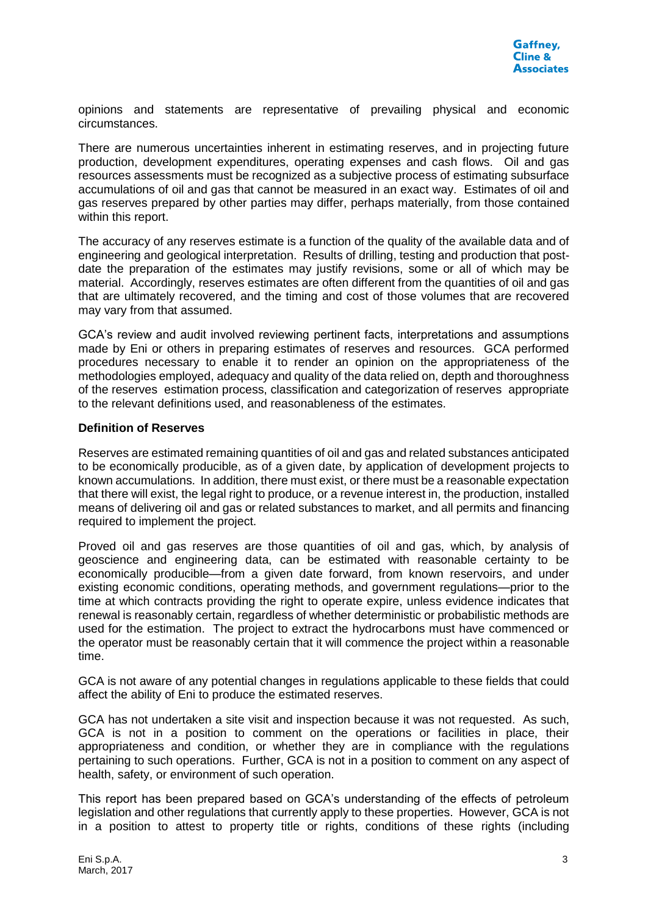opinions and statements are representative of prevailing physical and economic circumstances.

There are numerous uncertainties inherent in estimating reserves, and in projecting future production, development expenditures, operating expenses and cash flows. Oil and gas resources assessments must be recognized as a subjective process of estimating subsurface accumulations of oil and gas that cannot be measured in an exact way. Estimates of oil and gas reserves prepared by other parties may differ, perhaps materially, from those contained within this report.

The accuracy of any reserves estimate is a function of the quality of the available data and of engineering and geological interpretation. Results of drilling, testing and production that postdate the preparation of the estimates may justify revisions, some or all of which may be material. Accordingly, reserves estimates are often different from the quantities of oil and gas that are ultimately recovered, and the timing and cost of those volumes that are recovered may vary from that assumed.

GCA's review and audit involved reviewing pertinent facts, interpretations and assumptions made by Eni or others in preparing estimates of reserves and resources. GCA performed procedures necessary to enable it to render an opinion on the appropriateness of the methodologies employed, adequacy and quality of the data relied on, depth and thoroughness of the reserves estimation process, classification and categorization of reserves appropriate to the relevant definitions used, and reasonableness of the estimates.

## **Definition of Reserves**

Reserves are estimated remaining quantities of oil and gas and related substances anticipated to be economically producible, as of a given date, by application of development projects to known accumulations. In addition, there must exist, or there must be a reasonable expectation that there will exist, the legal right to produce, or a revenue interest in, the production, installed means of delivering oil and gas or related substances to market, and all permits and financing required to implement the project.

Proved oil and gas reserves are those quantities of oil and gas, which, by analysis of geoscience and engineering data, can be estimated with reasonable certainty to be economically producible—from a given date forward, from known reservoirs, and under existing economic conditions, operating methods, and government regulations—prior to the time at which contracts providing the right to operate expire, unless evidence indicates that renewal is reasonably certain, regardless of whether deterministic or probabilistic methods are used for the estimation. The project to extract the hydrocarbons must have commenced or the operator must be reasonably certain that it will commence the project within a reasonable time.

GCA is not aware of any potential changes in regulations applicable to these fields that could affect the ability of Eni to produce the estimated reserves.

GCA has not undertaken a site visit and inspection because it was not requested. As such, GCA is not in a position to comment on the operations or facilities in place, their appropriateness and condition, or whether they are in compliance with the regulations pertaining to such operations. Further, GCA is not in a position to comment on any aspect of health, safety, or environment of such operation.

This report has been prepared based on GCA's understanding of the effects of petroleum legislation and other regulations that currently apply to these properties. However, GCA is not in a position to attest to property title or rights, conditions of these rights (including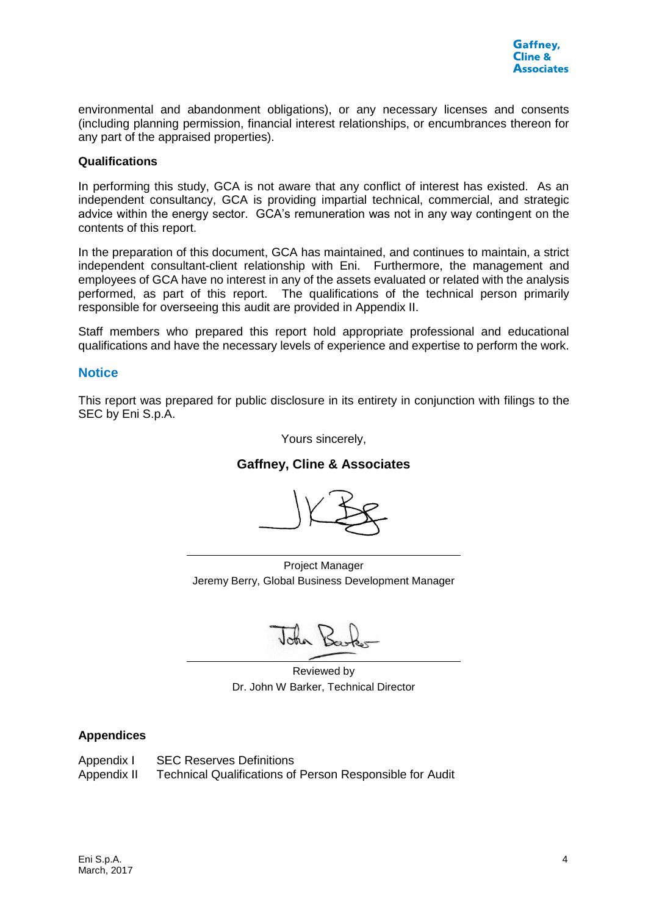environmental and abandonment obligations), or any necessary licenses and consents (including planning permission, financial interest relationships, or encumbrances thereon for any part of the appraised properties).

## **Qualifications**

In performing this study, GCA is not aware that any conflict of interest has existed. As an independent consultancy, GCA is providing impartial technical, commercial, and strategic advice within the energy sector. GCA's remuneration was not in any way contingent on the contents of this report.

In the preparation of this document, GCA has maintained, and continues to maintain, a strict independent consultant-client relationship with Eni. Furthermore, the management and employees of GCA have no interest in any of the assets evaluated or related with the analysis performed, as part of this report. The qualifications of the technical person primarily responsible for overseeing this audit are provided in Appendix II.

Staff members who prepared this report hold appropriate professional and educational qualifications and have the necessary levels of experience and expertise to perform the work.

# **Notice**

This report was prepared for public disclosure in its entirety in conjunction with filings to the SEC by Eni S.p.A.

Yours sincerely,

## **Gaffney, Cline & Associates**

Project Manager Jeremy Berry, Global Business Development Manager

Reviewed by Dr. John W Barker, Technical Director

#### **Appendices**

Appendix I [SEC Reserves Definitions](#page-4-0) Appendix II Technical Qualifications of Person Responsible for Audit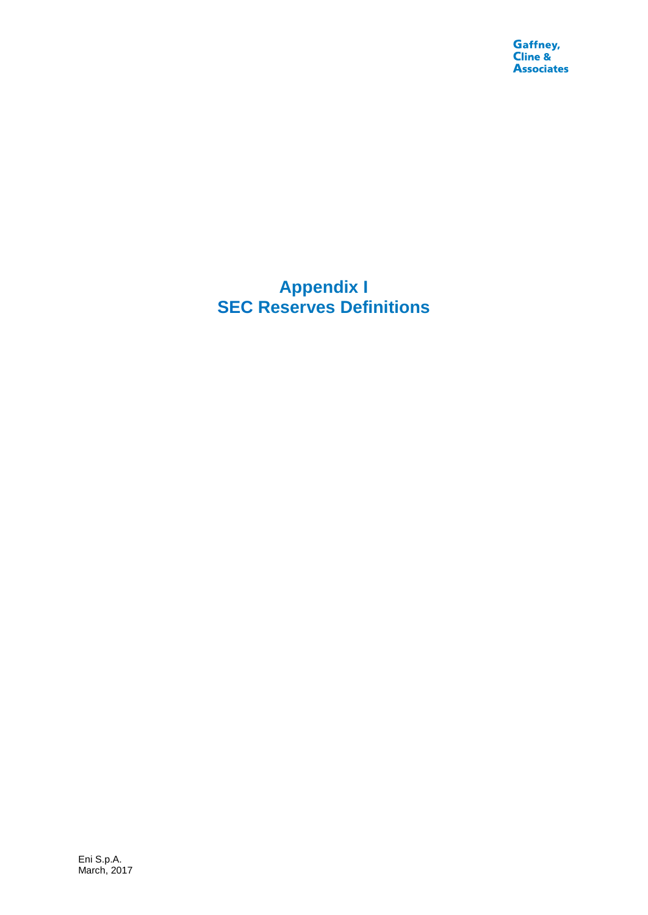Gaffney,<br>Cline & **Associates** 

# <span id="page-4-0"></span>**Appendix I SEC Reserves Definitions**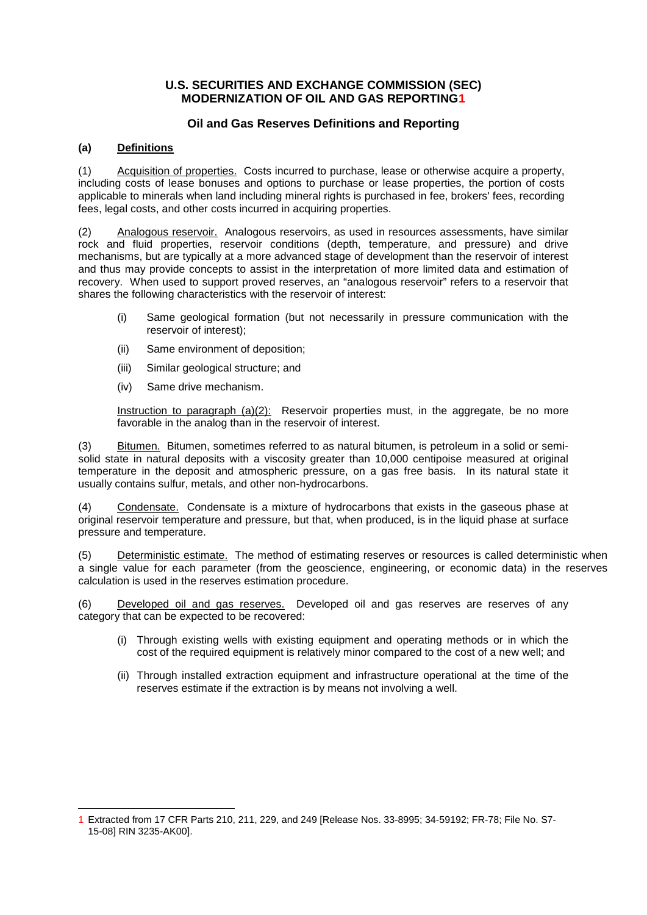## **U.S. SECURITIES AND EXCHANGE COMMISSION (SEC) MODERNIZATION OF OIL AND GAS REPORTING[1](#page-5-0)**

# **Oil and Gas Reserves Definitions and Reporting**

#### **(a) Definitions**

(1) Acquisition of properties. Costs incurred to purchase, lease or otherwise acquire a property, including costs of lease bonuses and options to purchase or lease properties, the portion of costs applicable to minerals when land including mineral rights is purchased in fee, brokers' fees, recording fees, legal costs, and other costs incurred in acquiring properties.

(2) Analogous reservoir. Analogous reservoirs, as used in resources assessments, have similar rock and fluid properties, reservoir conditions (depth, temperature, and pressure) and drive mechanisms, but are typically at a more advanced stage of development than the reservoir of interest and thus may provide concepts to assist in the interpretation of more limited data and estimation of recovery. When used to support proved reserves, an "analogous reservoir" refers to a reservoir that shares the following characteristics with the reservoir of interest:

- (i) Same geological formation (but not necessarily in pressure communication with the reservoir of interest);
- (ii) Same environment of deposition;
- (iii) Similar geological structure; and
- (iv) Same drive mechanism.

Instruction to paragraph  $(a)(2)$ : Reservoir properties must, in the aggregate, be no more favorable in the analog than in the reservoir of interest.

(3) Bitumen. Bitumen, sometimes referred to as natural bitumen, is petroleum in a solid or semisolid state in natural deposits with a viscosity greater than 10,000 centipoise measured at original temperature in the deposit and atmospheric pressure, on a gas free basis. In its natural state it usually contains sulfur, metals, and other non-hydrocarbons.

(4) Condensate. Condensate is a mixture of hydrocarbons that exists in the gaseous phase at original reservoir temperature and pressure, but that, when produced, is in the liquid phase at surface pressure and temperature.

(5) Deterministic estimate. The method of estimating reserves or resources is called deterministic when a single value for each parameter (from the geoscience, engineering, or economic data) in the reserves calculation is used in the reserves estimation procedure.

(6) Developed oil and gas reserves. Developed oil and gas reserves are reserves of any category that can be expected to be recovered:

- (i) Through existing wells with existing equipment and operating methods or in which the cost of the required equipment is relatively minor compared to the cost of a new well; and
- (ii) Through installed extraction equipment and infrastructure operational at the time of the reserves estimate if the extraction is by means not involving a well.

<span id="page-5-0"></span> <sup>1</sup> Extracted from 17 CFR Parts 210, 211, 229, and 249 [Release Nos. 33-8995; 34-59192; FR-78; File No. S7- 15-08] RIN 3235-AK00].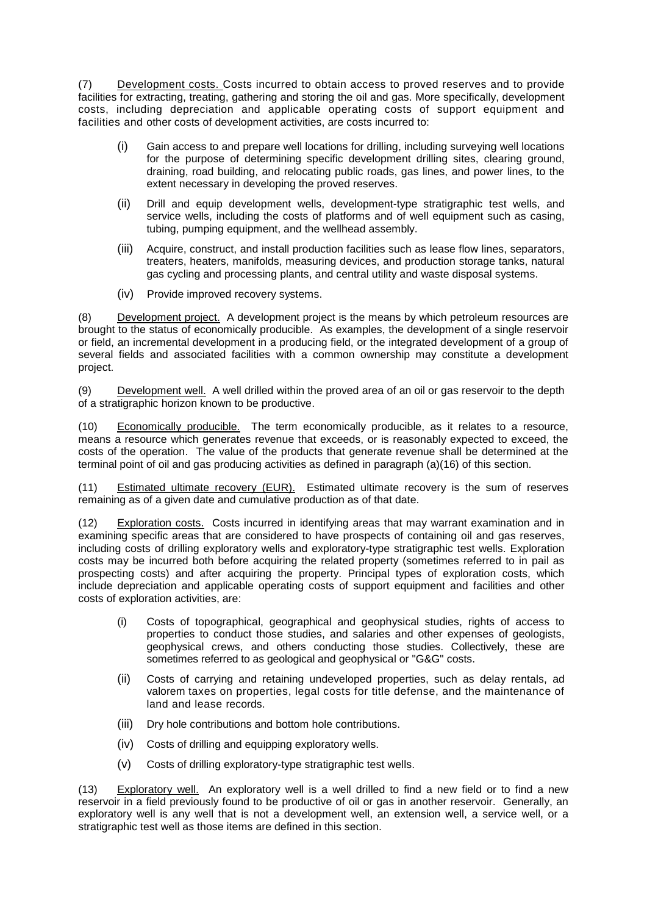(7) Development costs. Costs incurred to obtain access to proved reserves and to provide facilities for extracting, treating, gathering and storing the oil and gas. More specifically, development costs, including depreciation and applicable operating costs of support equipment and facilities and other costs of development activities, are costs incurred to:

- (i) Gain access to and prepare well locations for drilling, including surveying well locations for the purpose of determining specific development drilling sites, clearing ground, draining, road building, and relocating public roads, gas lines, and power lines, to the extent necessary in developing the proved reserves.
- (ii) Drill and equip development wells, development-type stratigraphic test wells, and service wells, including the costs of platforms and of well equipment such as casing, tubing, pumping equipment, and the wellhead assembly.
- (iii) Acquire, construct, and install production facilities such as lease flow lines, separators, treaters, heaters, manifolds, measuring devices, and production storage tanks, natural gas cycling and processing plants, and central utility and waste disposal systems.
- (iv) Provide improved recovery systems.

(8) Development project. A development project is the means by which petroleum resources are brought to the status of economically producible. As examples, the development of a single reservoir or field, an incremental development in a producing field, or the integrated development of a group of several fields and associated facilities with a common ownership may constitute a development project.

(9) Development well. A well drilled within the proved area of an oil or gas reservoir to the depth of a stratigraphic horizon known to be productive.

(10) Economically producible. The term economically producible, as it relates to a resource, means a resource which generates revenue that exceeds, or is reasonably expected to exceed, the costs of the operation. The value of the products that generate revenue shall be determined at the terminal point of oil and gas producing activities as defined in paragraph (a)(16) of this section.

Estimated ultimate recovery (EUR). Estimated ultimate recovery is the sum of reserves remaining as of a given date and cumulative production as of that date.

(12) Exploration costs. Costs incurred in identifying areas that may warrant examination and in examining specific areas that are considered to have prospects of containing oil and gas reserves, including costs of drilling exploratory wells and exploratory-type stratigraphic test wells. Exploration costs may be incurred both before acquiring the related property (sometimes referred to in pail as prospecting costs) and after acquiring the property. Principal types of exploration costs, which include depreciation and applicable operating costs of support equipment and facilities and other costs of exploration activities, are:

- (i) Costs of topographical, geographical and geophysical studies, rights of access to properties to conduct those studies, and salaries and other expenses of geologists, geophysical crews, and others conducting those studies. Collectively, these are sometimes referred to as geological and geophysical or "G&G" costs.
- (ii) Costs of carrying and retaining undeveloped properties, such as delay rentals, ad valorem taxes on properties, legal costs for title defense, and the maintenance of land and lease records.
- (iii) Dry hole contributions and bottom hole contributions.
- (iv) Costs of drilling and equipping exploratory wells.
- (v) Costs of drilling exploratory-type stratigraphic test wells.

(13) Exploratory well. An exploratory well is a well drilled to find a new field or to find a new reservoir in a field previously found to be productive of oil or gas in another reservoir. Generally, an exploratory well is any well that is not a development well, an extension well, a service well, or a stratigraphic test well as those items are defined in this section.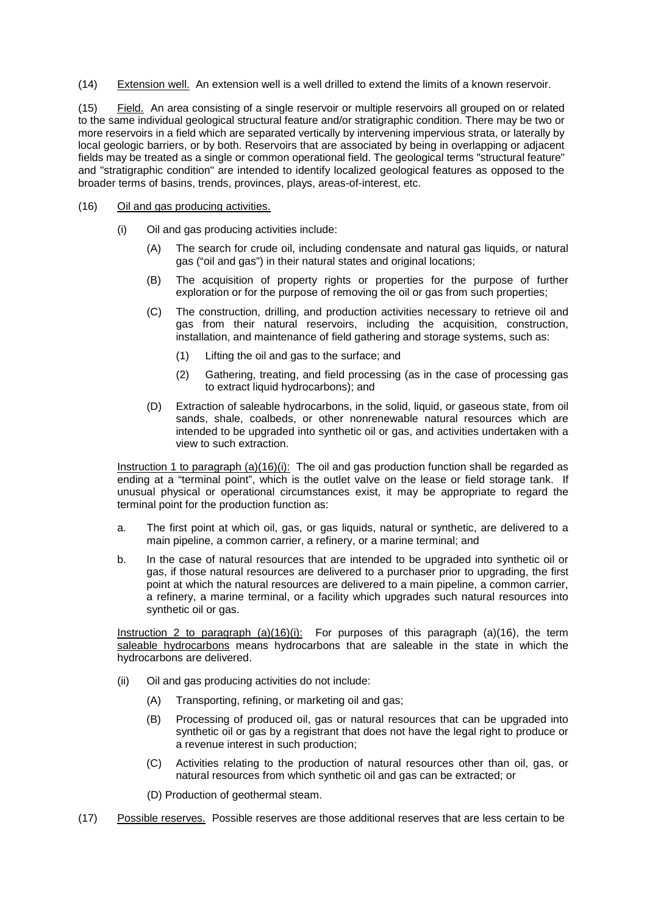(14) Extension well. An extension well is a well drilled to extend the limits of a known reservoir.

(15) Field. An area consisting of a single reservoir or multiple reservoirs all grouped on or related to the same individual geological structural feature and/or stratigraphic condition. There may be two or more reservoirs in a field which are separated vertically by intervening impervious strata, or laterally by local geologic barriers, or by both. Reservoirs that are associated by being in overlapping or adjacent fields may be treated as a single or common operational field. The geological terms "structural feature" and "stratigraphic condition" are intended to identify localized geological features as opposed to the broader terms of basins, trends, provinces, plays, areas-of-interest, etc.

#### (16) Oil and gas producing activities.

- (i) Oil and gas producing activities include:
	- (A) The search for crude oil, including condensate and natural gas liquids, or natural gas ("oil and gas") in their natural states and original locations;
	- (B) The acquisition of property rights or properties for the purpose of further exploration or for the purpose of removing the oil or gas from such properties;
	- (C) The construction, drilling, and production activities necessary to retrieve oil and gas from their natural reservoirs, including the acquisition, construction, installation, and maintenance of field gathering and storage systems, such as:
		- (1) Lifting the oil and gas to the surface; and
		- (2) Gathering, treating, and field processing (as in the case of processing gas to extract liquid hydrocarbons); and
	- (D) Extraction of saleable hydrocarbons, in the solid, liquid, or gaseous state, from oil sands, shale, coalbeds, or other nonrenewable natural resources which are intended to be upgraded into synthetic oil or gas, and activities undertaken with a view to such extraction.

Instruction 1 to paragraph (a)(16)(i): The oil and gas production function shall be regarded as ending at a "terminal point", which is the outlet valve on the lease or field storage tank. If unusual physical or operational circumstances exist, it may be appropriate to regard the terminal point for the production function as:

- a. The first point at which oil, gas, or gas liquids, natural or synthetic, are delivered to a main pipeline, a common carrier, a refinery, or a marine terminal; and
- b. In the case of natural resources that are intended to be upgraded into synthetic oil or gas, if those natural resources are delivered to a purchaser prior to upgrading, the first point at which the natural resources are delivered to a main pipeline, a common carrier, a refinery, a marine terminal, or a facility which upgrades such natural resources into synthetic oil or gas.

Instruction 2 to paragraph  $(a)(16)(i)$ : For purposes of this paragraph  $(a)(16)$ , the term saleable hydrocarbons means hydrocarbons that are saleable in the state in which the hydrocarbons are delivered.

- (ii) Oil and gas producing activities do not include:
	- (A) Transporting, refining, or marketing oil and gas;
	- (B) Processing of produced oil, gas or natural resources that can be upgraded into synthetic oil or gas by a registrant that does not have the legal right to produce or a revenue interest in such production;
	- (C) Activities relating to the production of natural resources other than oil, gas, or natural resources from which synthetic oil and gas can be extracted; or
	- (D) Production of geothermal steam.
- (17) Possible reserves. Possible reserves are those additional reserves that are less certain to be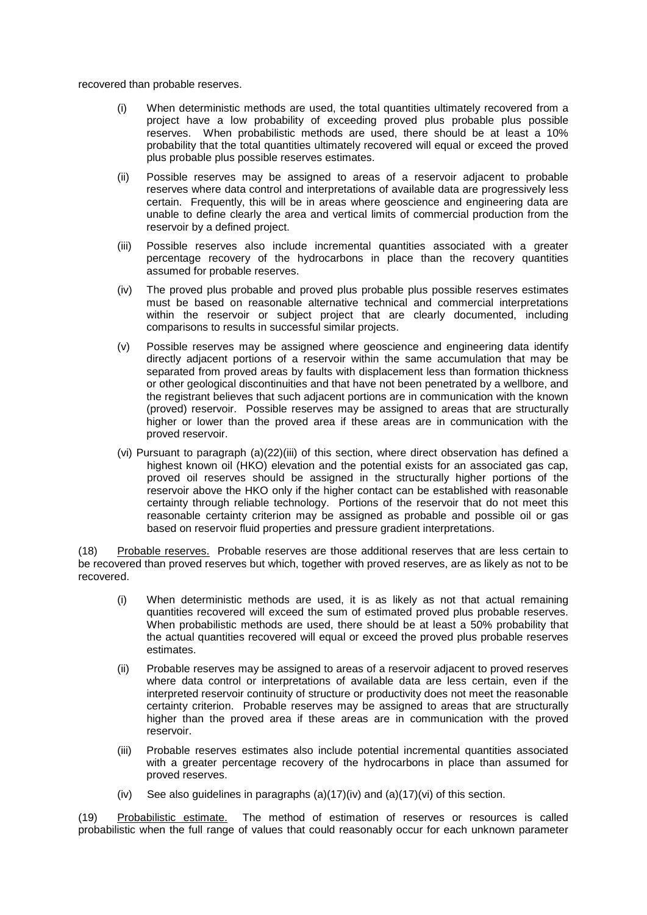recovered than probable reserves.

- (i) When deterministic methods are used, the total quantities ultimately recovered from a project have a low probability of exceeding proved plus probable plus possible reserves. When probabilistic methods are used, there should be at least a 10% probability that the total quantities ultimately recovered will equal or exceed the proved plus probable plus possible reserves estimates.
- (ii) Possible reserves may be assigned to areas of a reservoir adjacent to probable reserves where data control and interpretations of available data are progressively less certain. Frequently, this will be in areas where geoscience and engineering data are unable to define clearly the area and vertical limits of commercial production from the reservoir by a defined project.
- (iii) Possible reserves also include incremental quantities associated with a greater percentage recovery of the hydrocarbons in place than the recovery quantities assumed for probable reserves.
- (iv) The proved plus probable and proved plus probable plus possible reserves estimates must be based on reasonable alternative technical and commercial interpretations within the reservoir or subiect project that are clearly documented, including comparisons to results in successful similar projects.
- (v) Possible reserves may be assigned where geoscience and engineering data identify directly adjacent portions of a reservoir within the same accumulation that may be separated from proved areas by faults with displacement less than formation thickness or other geological discontinuities and that have not been penetrated by a wellbore, and the registrant believes that such adjacent portions are in communication with the known (proved) reservoir. Possible reserves may be assigned to areas that are structurally higher or lower than the proved area if these areas are in communication with the proved reservoir.
- (vi) Pursuant to paragraph (a)(22)(iii) of this section, where direct observation has defined a highest known oil (HKO) elevation and the potential exists for an associated gas cap, proved oil reserves should be assigned in the structurally higher portions of the reservoir above the HKO only if the higher contact can be established with reasonable certainty through reliable technology. Portions of the reservoir that do not meet this reasonable certainty criterion may be assigned as probable and possible oil or gas based on reservoir fluid properties and pressure gradient interpretations.

(18) Probable reserves. Probable reserves are those additional reserves that are less certain to be recovered than proved reserves but which, together with proved reserves, are as likely as not to be recovered.

- (i) When deterministic methods are used, it is as likely as not that actual remaining quantities recovered will exceed the sum of estimated proved plus probable reserves. When probabilistic methods are used, there should be at least a 50% probability that the actual quantities recovered will equal or exceed the proved plus probable reserves estimates.
- (ii) Probable reserves may be assigned to areas of a reservoir adjacent to proved reserves where data control or interpretations of available data are less certain, even if the interpreted reservoir continuity of structure or productivity does not meet the reasonable certainty criterion. Probable reserves may be assigned to areas that are structurally higher than the proved area if these areas are in communication with the proved reservoir.
- (iii) Probable reserves estimates also include potential incremental quantities associated with a greater percentage recovery of the hydrocarbons in place than assumed for proved reserves.
- (iv) See also quidelines in paragraphs  $(a)(17)(iv)$  and  $(a)(17)(vi)$  of this section.

(19) Probabilistic estimate. The method of estimation of reserves or resources is called probabilistic when the full range of values that could reasonably occur for each unknown parameter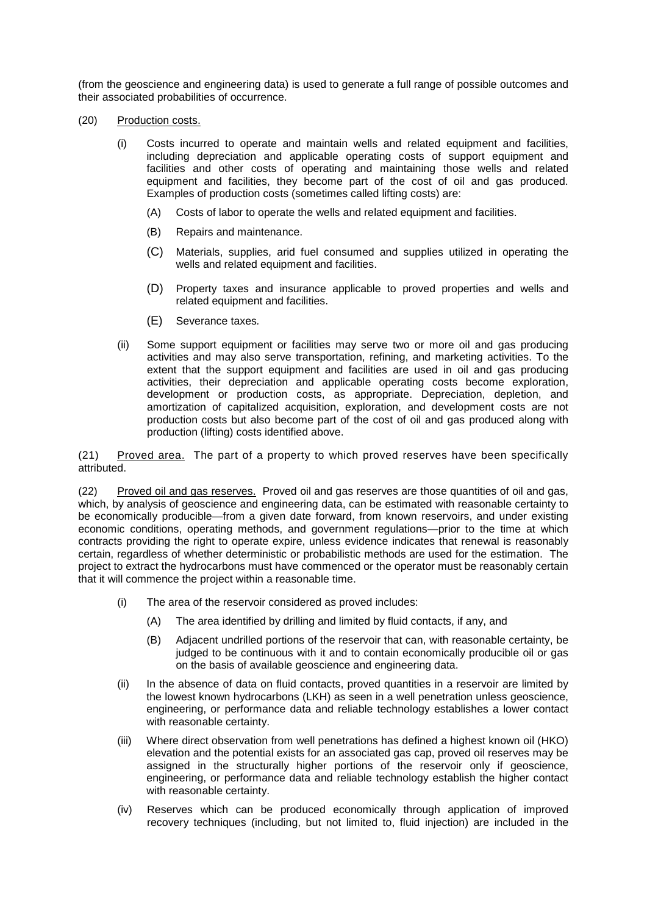(from the geoscience and engineering data) is used to generate a full range of possible outcomes and their associated probabilities of occurrence.

- (20) Production costs.
	- (i) Costs incurred to operate and maintain wells and related equipment and facilities, including depreciation and applicable operating costs of support equipment and facilities and other costs of operating and maintaining those wells and related equipment and facilities, they become part of the cost of oil and gas produced. Examples of production costs (sometimes called lifting costs) are:
		- (A) Costs of labor to operate the wells and related equipment and facilities.
		- (B) Repairs and maintenance.
		- (C) Materials, supplies, arid fuel consumed and supplies utilized in operating the wells and related equipment and facilities.
		- (D) Property taxes and insurance applicable to proved properties and wells and related equipment and facilities.
		- (E) Severance taxes*.*
	- (ii) Some support equipment or facilities may serve two or more oil and gas producing activities and may also serve transportation, refining, and marketing activities. To the extent that the support equipment and facilities are used in oil and gas producing activities, their depreciation and applicable operating costs become exploration, development or production costs, as appropriate. Depreciation, depletion, and amortization of capitalized acquisition, exploration, and development costs are not production costs but also become part of the cost of oil and gas produced along with production (lifting) costs identified above.

(21) Proved area. The part of a property to which proved reserves have been specifically attributed.

(22) Proved oil and gas reserves. Proved oil and gas reserves are those quantities of oil and gas, which, by analysis of geoscience and engineering data, can be estimated with reasonable certainty to be economically producible—from a given date forward, from known reservoirs, and under existing economic conditions, operating methods, and government regulations—prior to the time at which contracts providing the right to operate expire, unless evidence indicates that renewal is reasonably certain, regardless of whether deterministic or probabilistic methods are used for the estimation. The project to extract the hydrocarbons must have commenced or the operator must be reasonably certain that it will commence the project within a reasonable time.

- (i) The area of the reservoir considered as proved includes:
	- (A) The area identified by drilling and limited by fluid contacts, if any, and
	- (B) Adjacent undrilled portions of the reservoir that can, with reasonable certainty, be judged to be continuous with it and to contain economically producible oil or gas on the basis of available geoscience and engineering data.
- (ii) In the absence of data on fluid contacts, proved quantities in a reservoir are limited by the lowest known hydrocarbons (LKH) as seen in a well penetration unless geoscience, engineering, or performance data and reliable technology establishes a lower contact with reasonable certainty.
- (iii) Where direct observation from well penetrations has defined a highest known oil (HKO) elevation and the potential exists for an associated gas cap, proved oil reserves may be assigned in the structurally higher portions of the reservoir only if geoscience, engineering, or performance data and reliable technology establish the higher contact with reasonable certainty.
- (iv) Reserves which can be produced economically through application of improved recovery techniques (including, but not limited to, fluid injection) are included in the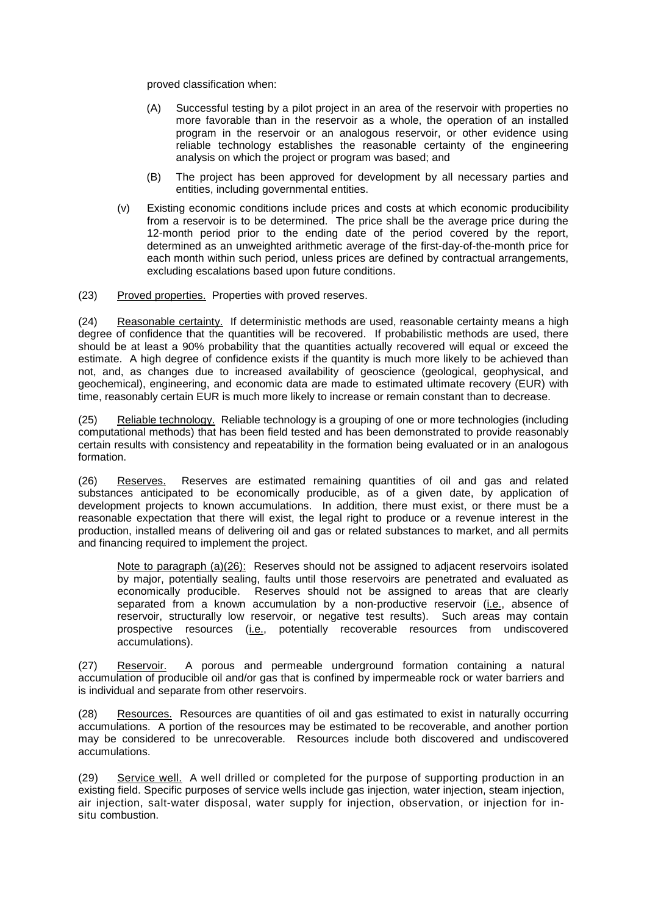proved classification when:

- (A) Successful testing by a pilot project in an area of the reservoir with properties no more favorable than in the reservoir as a whole, the operation of an installed program in the reservoir or an analogous reservoir, or other evidence using reliable technology establishes the reasonable certainty of the engineering analysis on which the project or program was based; and
- (B) The project has been approved for development by all necessary parties and entities, including governmental entities.
- (v) Existing economic conditions include prices and costs at which economic producibility from a reservoir is to be determined. The price shall be the average price during the 12-month period prior to the ending date of the period covered by the report, determined as an unweighted arithmetic average of the first-day-of-the-month price for each month within such period, unless prices are defined by contractual arrangements, excluding escalations based upon future conditions.
- (23) Proved properties. Properties with proved reserves.

(24) Reasonable certainty. If deterministic methods are used, reasonable certainty means a high degree of confidence that the quantities will be recovered. If probabilistic methods are used, there should be at least a 90% probability that the quantities actually recovered will equal or exceed the estimate. A high degree of confidence exists if the quantity is much more likely to be achieved than not, and, as changes due to increased availability of geoscience (geological, geophysical, and geochemical), engineering, and economic data are made to estimated ultimate recovery (EUR) with time, reasonably certain EUR is much more likely to increase or remain constant than to decrease.

(25) Reliable technology. Reliable technology is a grouping of one or more technologies (including computational methods) that has been field tested and has been demonstrated to provide reasonably certain results with consistency and repeatability in the formation being evaluated or in an analogous formation.

(26) Reserves. Reserves are estimated remaining quantities of oil and gas and related substances anticipated to be economically producible, as of a given date, by application of development projects to known accumulations. In addition, there must exist, or there must be a reasonable expectation that there will exist, the legal right to produce or a revenue interest in the production, installed means of delivering oil and gas or related substances to market, and all permits and financing required to implement the project.

Note to paragraph (a)(26): Reserves should not be assigned to adjacent reservoirs isolated by major, potentially sealing, faults until those reservoirs are penetrated and evaluated as economically producible. Reserves should not be assigned to areas that are clearly separated from a known accumulation by a non-productive reservoir (i.e., absence of reservoir, structurally low reservoir, or negative test results). Such areas may contain prospective resources (i.e., potentially recoverable resources from undiscovered accumulations).

(27) Reservoir. A porous and permeable underground formation containing a natural accumulation of producible oil and/or gas that is confined by impermeable rock or water barriers and is individual and separate from other reservoirs.

(28) Resources. Resources are quantities of oil and gas estimated to exist in naturally occurring accumulations. A portion of the resources may be estimated to be recoverable, and another portion may be considered to be unrecoverable. Resources include both discovered and undiscovered accumulations.

(29) Service well. A well drilled or completed for the purpose of supporting production in an existing field. Specific purposes of service wells include gas injection, water injection, steam injection, air injection, salt-water disposal, water supply for injection, observation, or injection for insitu combustion.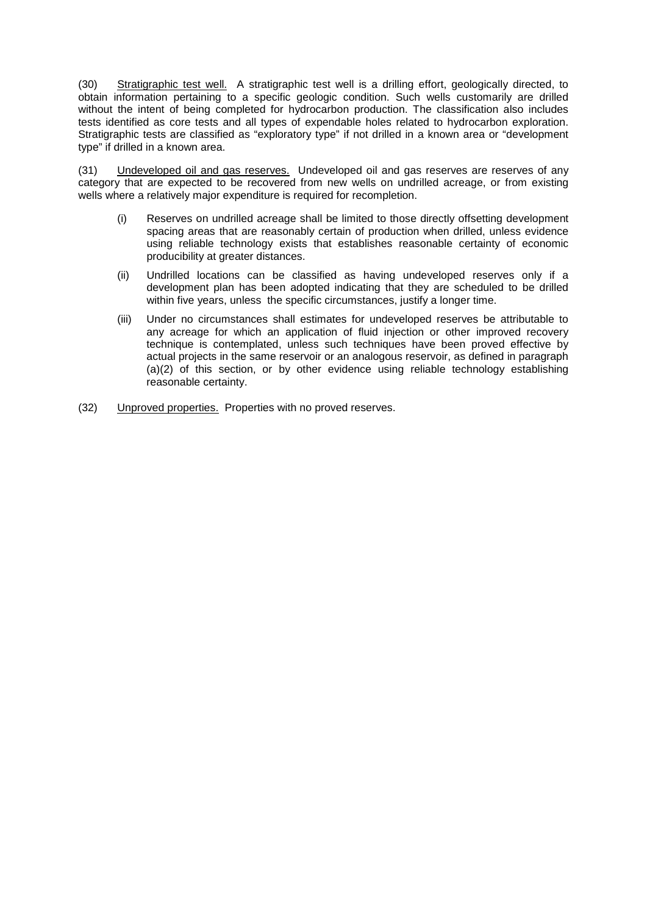(30) Stratigraphic test well. A stratigraphic test well is a drilling effort, geologically directed, to obtain information pertaining to a specific geologic condition. Such wells customarily are drilled without the intent of being completed for hydrocarbon production. The classification also includes tests identified as core tests and all types of expendable holes related to hydrocarbon exploration. Stratigraphic tests are classified as "exploratory type" if not drilled in a known area or "development type" if drilled in a known area.

(31) Undeveloped oil and gas reserves. Undeveloped oil and gas reserves are reserves of any category that are expected to be recovered from new wells on undrilled acreage, or from existing wells where a relatively major expenditure is required for recompletion.

- (i) Reserves on undrilled acreage shall be limited to those directly offsetting development spacing areas that are reasonably certain of production when drilled, unless evidence using reliable technology exists that establishes reasonable certainty of economic producibility at greater distances.
- (ii) Undrilled locations can be classified as having undeveloped reserves only if a development plan has been adopted indicating that they are scheduled to be drilled within five years, unless the specific circumstances, justify a longer time.
- (iii) Under no circumstances shall estimates for undeveloped reserves be attributable to any acreage for which an application of fluid injection or other improved recovery technique is contemplated, unless such techniques have been proved effective by actual projects in the same reservoir or an analogous reservoir, as defined in paragraph (a)(2) of this section, or by other evidence using reliable technology establishing reasonable certainty.
- (32) Unproved properties. Properties with no proved reserves.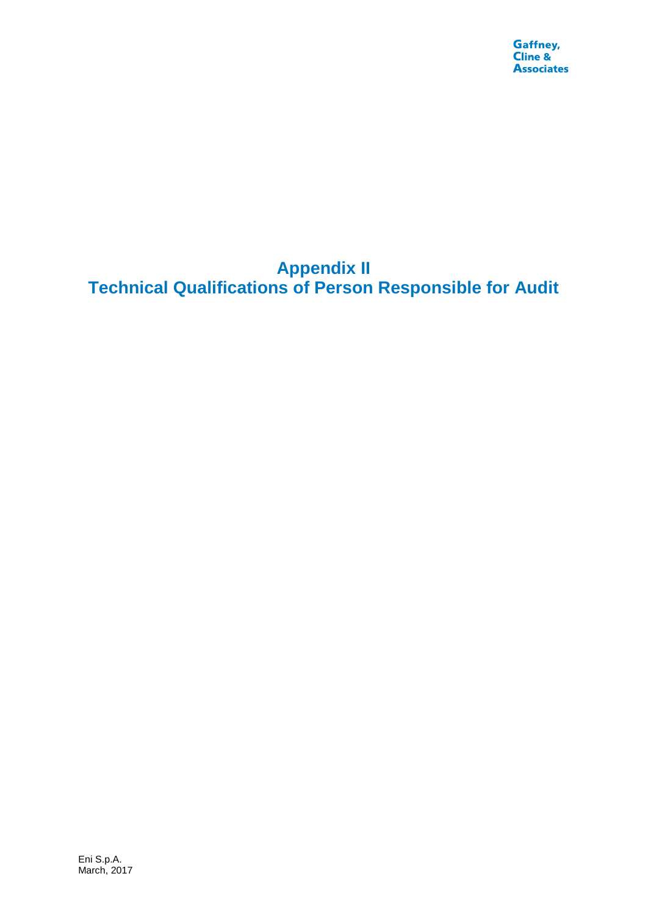**Gaffney,** Cline & **Associates** 

**Appendix II Technical Qualifications of Person Responsible for Audit**